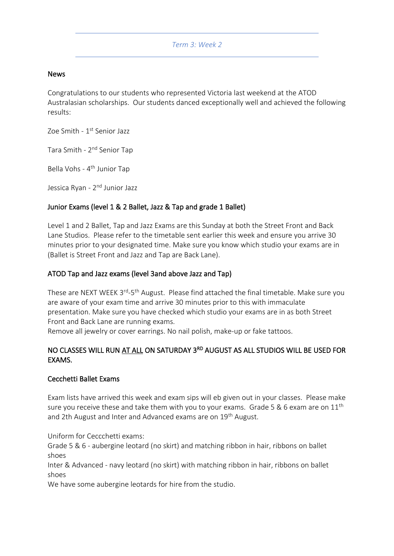#### *Term 3: Week 2*

#### News

Congratulations to our students who represented Victoria last weekend at the ATOD Australasian scholarships. Our students danced exceptionally well and achieved the following results:

Zoe Smith - 1<sup>st</sup> Senior Jazz

Tara Smith - 2<sup>nd</sup> Senior Tap

Bella Vohs - 4<sup>th</sup> Junior Tap

Jessica Ryan - 2<sup>nd</sup> Junior Jazz

# Junior Exams (level 1 & 2 Ballet, Jazz & Tap and grade 1 Ballet)

Level 1 and 2 Ballet, Tap and Jazz Exams are this Sunday at both the Street Front and Back Lane Studios. Please refer to the timetable sent earlier this week and ensure you arrive 30 minutes prior to your designated time. Make sure you know which studio your exams are in (Ballet is Street Front and Jazz and Tap are Back Lane).

# ATOD Tap and Jazz exams (level 3and above Jazz and Tap)

These are NEXT WEEK 3<sup>rd</sup>-5<sup>th</sup> August. Please find attached the final timetable. Make sure you are aware of your exam time and arrive 30 minutes prior to this with immaculate presentation. Make sure you have checked which studio your exams are in as both Street Front and Back Lane are running exams.

Remove all jewelry or cover earrings. No nail polish, make-up or fake tattoos.

# NO CLASSES WILL RUN AT ALL ON SATURDAY 3<sup>RD</sup> AUGUST AS ALL STUDIOS WILL BE USED FOR EXAMS.

# Cecchetti Ballet Exams

Exam lists have arrived this week and exam sips will eb given out in your classes. Please make sure you receive these and take them with you to your exams. Grade 5 & 6 exam are on  $11<sup>th</sup>$ and 2th August and Inter and Advanced exams are on 19<sup>th</sup> August.

Uniform for Ceccchetti exams:

Grade 5 & 6 - aubergine leotard (no skirt) and matching ribbon in hair, ribbons on ballet shoes

Inter & Advanced - navy leotard (no skirt) with matching ribbon in hair, ribbons on ballet shoes

We have some aubergine leotards for hire from the studio.